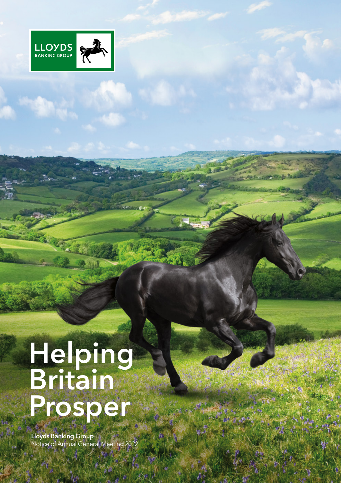

# **Helping Britain** Prosper

Lloyds Banking Group Notice of Annual General Meeting 2022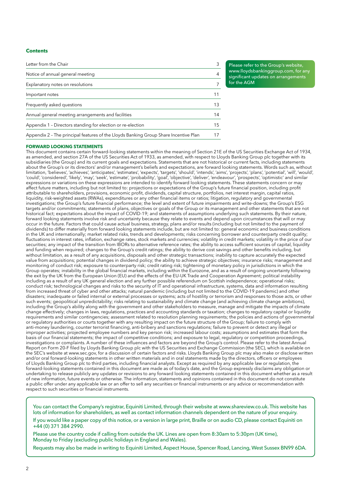### **Contents**

| Letter from the Chair                                                                |    |
|--------------------------------------------------------------------------------------|----|
| Notice of annual general meeting                                                     | 4  |
| Explanatory notes on resolutions                                                     |    |
| Important notes                                                                      |    |
| Frequently asked questions                                                           | 13 |
| Annual general meeting arrangements and facilities                                   | 14 |
| Appendix 1 - Directors standing for election or re-election                          |    |
| Appendix 2 - The principal features of the Lloyds Banking Group Share Incentive Plan |    |

Please refer to the Group's website, [www.lloydsbankinggroup.com](http://www.lloydsbankinggroup.com), for any significant updates on arrangements for the AGM

### **FORWARD LOOKING STATEMENTS**

This document contains certain forward-looking statements within the meaning of Section 21E of the US Securities Exchange Act of 1934, as amended, and section 27A of the US Securities Act of 1933, as amended, with respect to Lloyds Banking Group plc together with its subsidiaries (the Group) and its current goals and expectations. Statements that are not historical or current facts, including statements about the Group's or its directors' and/or management's beliefs and expectations, are forward looking statements. Words such as, without limitation, 'believes', 'achieves', 'anticipates', 'estimates', 'expects', 'targets', 'should', 'intends', 'aims', 'projects', 'plans', 'potential', 'will', 'would', 'could', 'considered', 'likely', 'may', 'seek', 'estimate', 'probability', 'goal', 'objective', 'deliver', 'endeavour', 'prospects', 'optimistic' and similar expressions or variations on these expressions are intended to identify forward looking statements. These statements concern or may affect future matters, including but not limited to: projections or expectations of the Group's future financial position, including profit attributable to shareholders, provisions, economic profit, dividends, capital structure, portfolios, net interest margin, capital ratios, liquidity, risk-weighted assets (RWAs), expenditures or any other financial items or ratios; litigation, regulatory and governmental investigations; the Group's future financial performance; the level and extent of future impairments and write-downs; the Group's ESG targets and/or commitments; statements of plans, objectives or goals of the Group or its management and other statements that are not historical fact; expectations about the impact of COVID-19; and statements of assumptions underlying such statements. By their nature, forward looking statements involve risk and uncertainty because they relate to events and depend upon circumstances that will or may occur in the future. Factors that could cause actual business, strategy, plans and/or results (including but not limited to the payment of dividends) to differ materially from forward looking statements include, but are not limited to: general economic and business conditions in the UK and internationally; market related risks, trends and developments; risks concerning borrower and counterparty credit quality; fluctuations in interest rates, inflation, exchange rates, stock markets and currencies; volatility in credit markets; volatility in the price of our securities; any impact of the transition from IBORs to alternative reference rates; the ability to access sufficient sources of capital, liquidity and funding when required; changes to the Group's credit ratings; the ability to derive cost savings and other benefits including, but without limitation, as a result of any acquisitions, disposals and other strategic transactions; inability to capture accurately the expected value from acquisitions; potential changes in dividend policy; the ability to achieve strategic objectives; insurance risks; management and monitoring of conduct risk; exposure to counterparty risk; credit rating risk; tightening of monetary policy in jurisdictions in which the Group operates; instability in the global financial markets, including within the Eurozone, and as a result of ongoing uncertainty following the exit by the UK from the European Union (EU) and the effects of the EU-UK Trade and Cooperation Agreement; political instability including as a result of any UK general election and any further possible referendum on Scottish independence; operational risks; conduct risk; technological changes and risks to the security of IT and operational infrastructure, systems, data and information resulting from increased threat of cyber and other attacks; natural pandemic (including but not limited to the COVID-19 pandemic) and other disasters; inadequate or failed internal or external processes or systems; acts of hostility or terrorism and responses to those acts, or other such events; geopolitical unpredictability; risks relating to sustainability and climate change (and achieving climate change ambitions), including the Group's ability along with the government and other stakeholders to measure, manage and mitigate the impacts of climate change effectively; changes in laws, regulations, practices and accounting standards or taxation; changes to regulatory capital or liquidity requirements and similar contingencies; assessment related to resolution planning requirements; the policies and actions of governmental or regulatory authorities or courts together with any resulting impact on the future structure of the Group; failure to comply with anti-money laundering, counter terrorist financing, anti-bribery and sanctions regulations; failure to prevent or detect any illegal or improper activities; projected employee numbers and key person risk; increased labour costs; assumptions and estimates that form the basis of our financial statements; the impact of competitive conditions; and exposure to legal, regulatory or competition proceedings, investigations or complaints. A number of these influences and factors are beyond the Group's control. Please refer to the latest Annual Report on Form 20-F filed by Lloyds Banking Group plc with the US Securities and Exchange Commission (the SEC), which is available on the SEC's website at [www.sec.gov](http://www.sec.gov), for a discussion of certain factors and risks. Lloyds Banking Group plc may also make or disclose written and/or oral forward-looking statements in other written materials and in oral statements made by the directors, officers or employees of Lloyds Banking Group plc to third parties, including financial analysts. Except as required by any applicable law or regulation, the forward-looking statements contained in this document are made as of today's date, and the Group expressly disclaims any obligation or undertaking to release publicly any updates or revisions to any forward looking statements contained in this document whether as a result of new information, future events or otherwise. The information, statements and opinions contained in this document do not constitute a public offer under any applicable law or an offer to sell any securities or financial instruments or any advice or recommendation with respect to such securities or financial instruments.

You can contact the Company's registrar, Equiniti Limited, through their website at www.shareview.co.uk. This website has lots of information for shareholders, as well as contact information channels dependent on the nature of your enquiry.

If you would like a paper copy of this notice, or a version in large print, Braille or on audio CD, please contact Equiniti on +44 (0) 371 384 2990.

Please use the country code if calling from outside the UK. Lines are open from 8:30am to 5:30pm (UK time), Monday to Friday (excluding public holidays in England and Wales).

Requests may also be made in writing to Equiniti Limited, Aspect House, Spencer Road, Lancing, West Sussex BN99 6DA.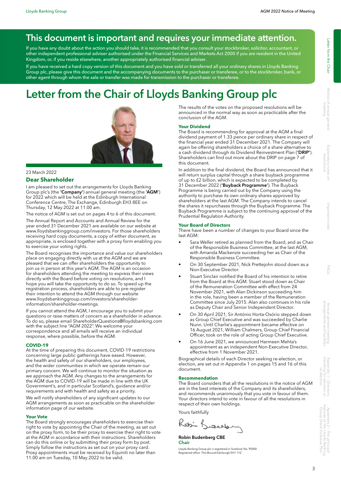# This document is important and requires your immediate attention.

If you have any doubt about the action you should take, it is recommended that you consult your stockbroker, solicitor, accountant, or other independent professional adviser authorised under the Financial Services and Markets Act 2000 if you are resident in the United Kingdom, or, if you reside elsewhere, another appropriately authorised financial adviser.

If you have received a hard copy version of this document and you have sold or transferred all your ordinary shares in Lloyds Banking Group plc, please give this document and the accompanying documents to the purchaser or transferee, or to the stockbroker, bank, or other agent through whom the sale or transfer was made for transmission to the purchaser or transferee.

# Letter from the Chair of Lloyds Banking Group plc



#### 23 March 2022

#### **Dear Shareholder**

I am pleased to set out the arrangements for Lloyds Banking Group plc's (the 'Company') annual general meeting (the 'AGM') for 2022 which will be held at the Edinburgh International Conference Centre, The Exchange, Edinburgh EH3 8EE on Thursday, 12 May 2022 at 11.00 am.

The notice of AGM is set out on pages 4 to 6 of this document.

The Annual Report and Accounts and Annual Review for the year ended 31 December 2021 are available on our website at www.lloydsbankinggroup.com/investors. For those shareholders receiving hard copy documents, a copy of either document, as appropriate, is enclosed together with a proxy form enabling you to exercise your voting rights.

The Board recognises the importance and value our shareholders place on engaging directly with us at the AGM and we are pleased that we can offer shareholders the opportunity to join us in person at this year's AGM. The AGM is an occasion for shareholders attending the meeting to express their views directly with the Board before voting on resolutions, and I hope you will take the opportunity to do so. To speed up the registration process, shareholders are able to pre-register their intention to attend the AGM through our website [www.lloydsbankinggroup.com/investors/shareholder](http://www.lloydsbankinggroup.com/investors/shareholder-information/shareholder-meetings)[information/shareholder-meetings.](http://www.lloydsbankinggroup.com/investors/shareholder-information/shareholder-meetings)

If you cannot attend the AGM, I encourage you to submit your questions or raise matters of concern as a shareholder in advance. To do so, please email [ShareholderQuestions@lloydsbanking.com](mailto:ShareholderQuestions%40lloydsbanking.com?subject=) with the subject line "AGM 2022". We welcome your correspondence and all emails will receive an individual response, where possible, before the AGM.

#### **COVID-19**

At the time of preparing this document, COVID-19 restrictions concerning large public gatherings have eased. However, the health and safety of our shareholders, our employees, and the wider communities in which we operate remain our primary concern. We will continue to monitor the situation as we approach the AGM. Any changes to the arrangements for the AGM due to COVID-19 will be made in line with the UK Government's, and in particular Scotland's, guidance and/or requirements and with health and safety as a priority.

We will notify shareholders of any significant updates to our AGM arrangements as soon as practicable on the shareholder information page of our website.

#### **Your Vote**

The Board strongly encourages shareholders to exercise their right to vote by appointing the Chair of the meeting, as set out on the proxy form, to be their proxy to exercise their right to vote at the AGM in accordance with their instructions. Shareholders can do this online or by submitting their proxy form by post. Simply follow the instructions as set out on your proxy card. Proxy appointments must be received by Equiniti no later than 11.00 am on Tuesday, 10 May 2022 to be valid.

The results of the votes on the proposed resolutions will be announced in the normal way as soon as practicable after the conclusion of the AGM.

#### **Your Dividend**

The Board is recommending for approval at the AGM a final dividend payment of 1.33 pence per ordinary share in respect of the financial year ended 31 December 2021. The Company will again be offering shareholders a choice of a share alternative to a cash dividend through its Dividend Reinvestment Plan ('DRIP'). Shareholders can find out more about the DRIP on page 7 of this document.

In addition to the final dividend, the Board has announced that it will return surplus capital through a share buyback programme of up to £2 billion, which is expected to be completed by 31 December 2022 ('Buyback Programme'). The Buyback Programme is being carried out by the Company using the authority to purchase its own ordinary shares approved by shareholders at the last AGM. The Company intends to cancel the shares it repurchases through the Buyback Programme. The Buyback Programme is subject to the continuing approval of the Prudential Regulation Authority.

#### **Your Board of Directors**

There have been a number of changes to your Board since the last AGM:

- Sara Weller retired as planned from the Board, and as Chair of the Responsible Business Committee, at the last AGM, with Amanda Mackenzie succeeding her as Chair of the Responsible Business Committee.
- On 30 September 2021, Nick Prettejohn stood down as a Non-Executive Director.
- Stuart Sinclair notified the Board of his intention to retire from the Board at this AGM. Stuart stood down as Chair of the Remuneration Committee with effect from 24 November 2021, with Alan Dickinson succeeding him in the role, having been a member of the Remuneration Committee since July 2015. Alan also continues in his role as Deputy Chair and Senior Independent Director.
- On 30 April 2021, Sir António Horta-Osório stepped down as Group Chief Executive and was succeeded by Charlie Nunn. Until Charlie's appointment became effective on 16 August 2021, William Chalmers, Group Chief Financial Officer, took on the role of acting Group Chief Executive.
- On 16 June 2021, we announced Harmeen Mehta's appointment as an independent Non-Executive Director, effective from 1 November 2021.

Biographical details of each Director seeking re-election, or election, are set out in Appendix 1 on pages 15 and 16 of this document.

#### **Recommendation**

The Board considers that all the resolutions in the notice of AGM are in the best interests of the Company and its shareholders, and recommends unanimously that you vote in favour of them. Your directors intend to vote in favour of all the resolutions in respect of their own holdings.

Yours faithfully

Kosi K deale

Notice of annual general meeting

re-election

3

Lloyds Banking Group plc is registered in Scotland, No. 95000. Registered office: The Mound Edinburgh EH1 1YZ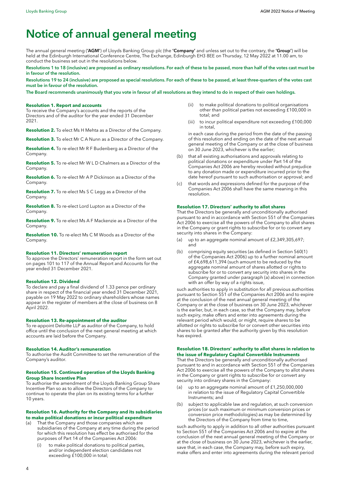# Notice of annual general meeting

The annual general meeting ('AGM') of Lloyds Banking Group plc (the 'Company' and unless set out to the contrary, the 'Group') will be held at the Edinburgh International Conference Centre, The Exchange, Edinburgh EH3 8EE on Thursday, 12 May 2022 at 11.00 am, to conduct the business set out in the resolutions below.

Resolutions 1 to 18 (inclusive) are proposed as ordinary resolutions. For each of these to be passed, more than half of the votes cast must be in favour of the resolution.

Resolutions 19 to 24 (inclusive) are proposed as special resolutions. For each of these to be passed, at least three-quarters of the votes cast must be in favour of the resolution.

The Board recommends unanimously that you vote in favour of all resolutions as they intend to do in respect of their own holdings.

#### **Resolution 1. Report and accounts**

To receive the Company's accounts and the reports of the Directors and of the auditor for the year ended 31 December 2021.

**Resolution 2.** To elect Ms H Mehta as a Director of the Company.

**Resolution 3.** To elect Mr C A Nunn as a Director of the Company.

**Resolution 4.** To re-elect Mr R F Budenberg as a Director of the Company.

**Resolution 5.** To re-elect Mr W L D Chalmers as a Director of the Company.

**Resolution 6.** To re-elect Mr A P Dickinson as a Director of the Company.

**Resolution 7.** To re-elect Ms S C Legg as a Director of the Company.

**Resolution 8.** To re-elect Lord Lupton as a Director of the Company.

**Resolution 9.** To re-elect Ms A F Mackenzie as a Director of the Company.

**Resolution 10.** To re-elect Ms C M Woods as a Director of the Company.

#### **Resolution 11. Directors' remuneration report**

To approve the Directors' remuneration report in the form set out on pages 101 to 117 of the Annual Report and Accounts for the year ended 31 December 2021.

#### **Resolution 12. Dividend**

To declare and pay a final dividend of 1.33 pence per ordinary share in respect of the financial year ended 31 December 2021, payable on 19 May 2022 to ordinary shareholders whose names appear in the register of members at the close of business on 8 April 2022.

#### **Resolution 13. Re-appointment of the auditor**

To re-appoint Deloitte LLP as auditor of the Company, to hold office until the conclusion of the next general meeting at which accounts are laid before the Company.

#### **Resolution 14. Auditor's remuneration**

To authorise the Audit Committee to set the remuneration of the Company's auditor.

#### **Resolution 15. Continued operation of the Lloyds Banking Group Share Incentive Plan**

To authorise the amendment of the Lloyds Banking Group Share Incentive Plan so as to allow the Directors of the Company to continue to operate the plan on its existing terms for a further 10 years.

#### **Resolution 16. Authority for the Company and its subsidiaries to make political donations or incur political expenditure**

- That the Company and those companies which are subsidiaries of the Company at any time during the period for which this resolution has effect be authorised for the purposes of Part 14 of the Companies Act 2006:
	- (i) to make political donations to political parties, and/or independent election candidates not exceeding £100,000 in total;
- (ii) to make political donations to political organisations other than political parties not exceeding £100,000 in total; and
- (iii) to incur political expenditure not exceeding £100,000 in total,

in each case during the period from the date of the passing of this resolution and ending on the date of the next annual general meeting of the Company or at the close of business on 30 June 2023, whichever is the earlier;

- (b) that all existing authorisations and approvals relating to political donations or expenditure under Part 14 of the Companies Act 2006 are hereby revoked without prejudice to any donation made or expenditure incurred prior to the date hereof pursuant to such authorisation or approval; and
- (c) that words and expressions defined for the purpose of the Companies Act 2006 shall have the same meaning in this resolution.

#### **Resolution 17. Directors' authority to allot shares**

That the Directors be generally and unconditionally authorised pursuant to and in accordance with Section 551 of the Companies Act 2006 to exercise all the powers of the Company to allot shares in the Company or grant rights to subscribe for or to convert any security into shares in the Company:

- (a) up to an aggregate nominal amount of £2,349,305,697; and
- (b) comprising equity securities (as defined in Section 560(1) of the Companies Act 2006) up to a further nominal amount of £4,698,611,394 (such amount to be reduced by the aggregate nominal amount of shares allotted or rights to subscribe for or to convert any security into shares in the Company granted under paragraph (a) above) in connection with an offer by way of a rights issue,

such authorities to apply in substitution for all previous authorities pursuant to Section 551 of the Companies Act 2006 and to expire at the conclusion of the next annual general meeting of the Company or at the close of business on 30 June 2023, whichever is the earlier, but, in each case, so that the Company may, before such expiry, make offers and enter into agreements during the relevant period which would, or might, require shares to be allotted or rights to subscribe for or convert other securities into shares to be granted after the authority given by this resolution has expired.

#### **Resolution 18. Directors' authority to allot shares in relation to the issue of Regulatory Capital Convertible Instruments**

That the Directors be generally and unconditionally authorised pursuant to and in accordance with Section 551 of the Companies Act 2006 to exercise all the powers of the Company to allot shares in the Company or grant rights to subscribe for or convert any security into ordinary shares in the Company:

- (a) up to an aggregate nominal amount of £1,250,000,000 in relation to the issue of Regulatory Capital Convertible Instruments; and
- (b) subject to applicable law and regulation, at such conversion prices (or such maximum or minimum conversion prices or conversion price methodologies) as may be determined by the Directors of the Company from time to time,

such authority to apply in addition to all other authorities pursuant to Section 551 of the Companies Act 2006 and to expire at the conclusion of the next annual general meeting of the Company or at the close of business on 30 June 2023, whichever is the earlier, save that, in each case, the Company may, before such expiry, make offers and enter into agreements during the relevant period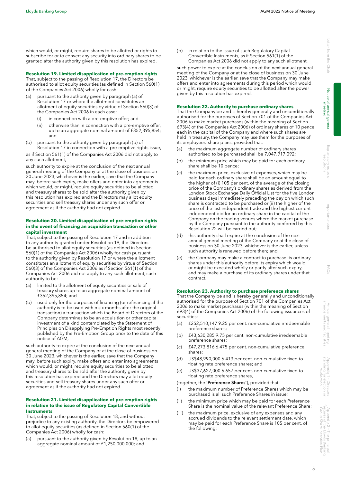Appendix 2 – The principal features of the Lloyds Banking Group Share Incentive Plan

which would, or might, require shares to be allotted or rights to subscribe for or to convert any security into ordinary shares to be granted after the authority given by this resolution has expired.

# **Resolution 19. Limited disapplication of pre-emption rights**

That, subject to the passing of Resolution 17, the Directors be authorised to allot equity securities (as defined in Section 560(1) of the Companies Act 2006) wholly for cash:

- (a) pursuant to the authority given by paragraph (a) of Resolution 17 or where the allotment constitutes an allotment of equity securities by virtue of Section 560(3) of the Companies Act 2006 in each case:
	- (i) in connection with a pre-emptive offer; and
	- (ii) otherwise than in connection with a pre-emptive offer, up to an aggregate nominal amount of £352,395,854; and
- (b) pursuant to the authority given by paragraph (b) of Resolution 17 in connection with a pre-emptive rights issue,

as if Section 561(1) of the Companies Act 2006 did not apply to any such allotment,

such authority to expire at the conclusion of the next annual general meeting of the Company or at the close of business on 30 June 2023, whichever is the earlier, save that the Company may, before such expiry, make offers and enter into agreements which would, or might, require equity securities to be allotted and treasury shares to be sold after the authority given by this resolution has expired and the Directors may allot equity securities and sell treasury shares under any such offer or agreement as if the authority had not expired.

#### **Resolution 20. Limited disapplication of pre-emption rights in the event of financing an acquisition transaction or other capital investment**

That, subject to the passing of Resolution 17 and in addition to any authority granted under Resolution 19, the Directors be authorised to allot equity securities (as defined in Section 560(1) of the Companies Act 2006) wholly for cash pursuant to the authority given by Resolution 17 or where the allotment constitutes an allotment of equity securities by virtue of Section 560(3) of the Companies Act 2006 as if Section 561(1) of the Companies Act 2006 did not apply to any such allotment, such authority to be:

- limited to the allotment of equity securities or sale of treasury shares up to an aggregate nominal amount of £352,395,854; and
- (b) used only for the purposes of financing (or refinancing, if the authority is to be used within six months after the original transaction) a transaction which the Board of Directors of the Company determines to be an acquisition or other capital investment of a kind contemplated by the Statement of Principles on Disapplying Pre-Emption Rights most recently published by the Pre-Emption Group prior to the date of this notice of AGM,

such authority to expire at the conclusion of the next annual general meeting of the Company or at the close of business on 30 June 2023, whichever is the earlier, save that the Company may, before such expiry, make offers and enter into agreements which would, or might, require equity securities to be allotted and treasury shares to be sold after the authority given by this resolution has expired and the Directors may allot equity securities and sell treasury shares under any such offer or agreement as if the authority had not expired.

#### **Resolution 21. Limited disapplication of pre-emption rights in relation to the issue of Regulatory Capital Convertible Instruments**

That, subject to the passing of Resolution 18, and without prejudice to any existing authority, the Directors be empowered to allot equity securities (as defined in Section 560(1) of the Companies Act 2006) wholly for cash:

(a) pursuant to the authority given by Resolution 18, up to an aggregate nominal amount of £1,250,000,000; and

(b) in relation to the issue of such Regulatory Capital Convertible Instruments, as if Section 561(1) of the Companies Act 2006 did not apply to any such allotment,

such power to expire at the conclusion of the next annual general meeting of the Company or at the close of business on 30 June 2023, whichever is the earlier, save that the Company may make offers and enter into agreements during this period which would, or might, require equity securities to be allotted after the power given by this resolution has expired.

# **Resolution 22. Authority to purchase ordinary shares**

That the Company be and is hereby generally and unconditionally authorised for the purposes of Section 701 of the Companies Act 2006 to make market purchases (within the meaning of Section 693(4) of the Companies Act 2006) of ordinary shares of 10 pence each in the capital of the Company and where such shares are held in treasury, the Company may use them for the purposes of its employees' share plans, provided that:

- (a) the maximum aggregate number of ordinary shares authorised to be purchased shall be 7,047,917,092;
- (b) the minimum price which may be paid for each ordinary share shall be 10 pence;
- (c) the maximum price, exclusive of expenses, which may be paid for each ordinary share shall be an amount equal to the higher of (i) 105 per cent. of the average of the closing price of the Company's ordinary shares as derived from the London Stock Exchange Daily Official List for the five London business days immediately preceding the day on which such share is contracted to be purchased or (ii) the higher of the price of the last independent trade and the highest current independent bid for an ordinary share in the capital of the Company on the trading venues where the market purchase by the Company pursuant to the authority conferred by this Resolution 22 will be carried out;
- (d) this authority shall expire at the conclusion of the next annual general meeting of the Company or at the close of business on 30 June 2023, whichever is the earlier, unless such authority is renewed before then; and
- (e) the Company may make a contract to purchase its ordinary shares under this authority before its expiry which would or might be executed wholly or partly after such expiry, and may make a purchase of its ordinary shares under that contract.

# **Resolution 23. Authority to purchase preference shares**

That the Company be and is hereby generally and unconditionally authorised for the purpose of Section 701 of the Companies Act 2006 to make market purchases (within the meaning of Section 693(4) of the Companies Act 2006) of the following issuances of securities:

- (a) £252,510,147 9.25 per cent. non-cumulative irredeemable preference shares;
- (b) £43,630,285 9.75 per cent. non-cumulative irredeemable preference shares;
- (c) £47,273,816 6.475 per cent. non-cumulative preference shares;
- (d) US\$48,990,000 6.413 per cent. non-cumulative fixed to floating rate preference shares; and
- (e) US\$37,627,000 6.657 per cent. non-cumulative fixed to floating rate preference shares,

(together, the 'Preference Shares'), provided that:

- (i) the maximum number of Preference Shares which may be purchased is all such Preference Shares in issue;
- (ii) the minimum price which may be paid for each Preference Share is the nominal value of the relevant Preference Share;
- (iii) the maximum price, exclusive of any expenses and any accrued dividends to the relevant settlement date, which may be paid for each Preference Share is 105 per cent. of the following: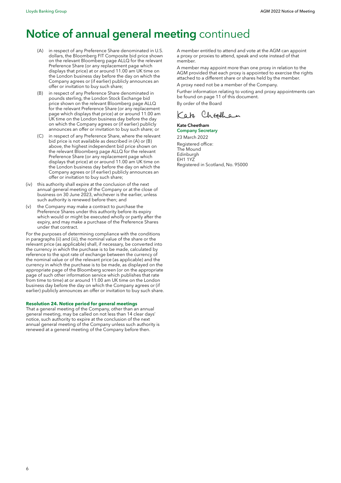# Notice of annual general meeting continued

- (A) in respect of any Preference Share denominated in U.S. dollars, the Bloomberg FIT Composite bid price shown on the relevant Bloomberg page ALLQ for the relevant Preference Share (or any replacement page which displays that price) at or around 11.00 am UK time on the London business day before the day on which the Company agrees or (if earlier) publicly announces an offer or invitation to buy such share;
- (B) in respect of any Preference Share denominated in pounds sterling, the London Stock Exchange bid price shown on the relevant Bloomberg page ALLQ for the relevant Preference Share (or any replacement page which displays that price) at or around 11.00 am UK time on the London business day before the day on which the Company agrees or (if earlier) publicly announces an offer or invitation to buy such share; or
- (C) in respect of any Preference Share, where the relevant bid price is not available as described in (A) or (B) above, the highest independent bid price shown on the relevant Bloomberg page ALLQ for the relevant Preference Share (or any replacement page which displays that price) at or around 11.00 am UK time on the London business day before the day on which the Company agrees or (if earlier) publicly announces an offer or invitation to buy such share;
- (iv) this authority shall expire at the conclusion of the next annual general meeting of the Company or at the close of business on 30 June 2023, whichever is the earlier, unless such authority is renewed before then; and
- (v) the Company may make a contract to purchase the Preference Shares under this authority before its expiry which would or might be executed wholly or partly after the expiry, and may make a purchase of the Preference Shares under that contract.

For the purposes of determining compliance with the conditions in paragraphs (ii) and (iii), the nominal value of the share or the relevant price (as applicable) shall, if necessary, be converted into the currency in which the purchase is to be made, calculated by reference to the spot rate of exchange between the currency of the nominal value or of the relevant price (as applicable) and the currency in which the purchase is to be made, as displayed on the appropriate page of the Bloomberg screen (or on the appropriate page of such other information service which publishes that rate from time to time) at or around 11.00 am UK time on the London business day before the day on which the Company agrees or (if earlier) publicly announces an offer or invitation to buy such share.

#### **Resolution 24. Notice period for general meetings**

That a general meeting of the Company, other than an annual general meeting, may be called on not less than 14 clear days' notice, such authority to expire at the conclusion of the next annual general meeting of the Company unless such authority is renewed at a general meeting of the Company before then.

A member entitled to attend and vote at the AGM can appoint a proxy or proxies to attend, speak and vote instead of that member.

A member may appoint more than one proxy in relation to the AGM provided that each proxy is appointed to exercise the rights attached to a different share or shares held by the member.

A proxy need not be a member of the Company.

Further information relating to voting and proxy appointments can be found on page 11 of this document. By order of the Board

Kate Cheedhan

### Kate Cheetham Company Secretary 23 March 2022

Registered office: The Mound Edinburgh EH1 1YZ Registered in Scotland, No. 95000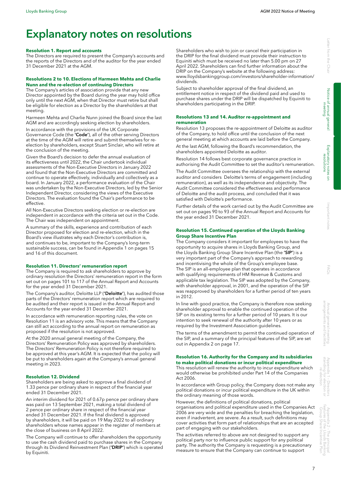# Explanatory notes on resolutions

#### **Resolution 1. Report and accounts**

The Directors are required to present the Company's accounts and the reports of the Directors and of the auditor for the year ended 31 December 2021 at the AGM.

#### **Resolutions 2 to 10. Elections of Harmeen Mehta and Charlie Nunn and the re-election of continuing Directors**

The Company's articles of association provide that any new Director appointed by the Board during the year may hold office only until the next AGM, when that Director must retire but shall be eligible for election as a Director by the shareholders at that meeting.

Harmeen Mehta and Charlie Nunn joined the Board since the last AGM and are accordingly seeking election by shareholders.

In accordance with the provisions of the UK Corporate Governance Code (the 'Code'), all of the other serving Directors at the time of the AGM will retire and submit themselves for reelection by shareholders, except Stuart Sinclair, who will retire at the conclusion of the meeting.

Given the Board's decision to defer the annual evaluation of its effectiveness until 2022, the Chair undertook individual assessments of the Non-Executive Directors in January 2022 and found that the Non-Executive Directors are committed and continue to operate effectively, individually and collectively as a board. In January 2022, a performance evaluation of the Chair was undertaken by the Non-Executive Directors, led by the Senior Independent Director, considering the views of the Executive Directors. The evaluation found the Chair's performance to be effective.

All Non-Executive Directors seeking election or re-election are independent in accordance with the criteria set out in the Code. The Chair was independent on appointment.

A summary of the skills, experience and contribution of each Director proposed for election and re-election, which in the Board's view illustrates why each Director's contribution is, and continues to be, important to the Company's long-term sustainable success, can be found in Appendix 1 on pages 15 and 16 of this document.

# **Resolution 11. Directors' remuneration report**

The Company is required to ask shareholders to approve by ordinary resolution the Directors' remuneration report in the form set out on pages 101 to 117 of the Annual Report and Accounts for the year ended 31 December 2021.

The Company's auditor, Deloitte LLP ('Deloitte'), has audited those parts of the Directors' remuneration report which are required to be audited and their report is issued in the Annual Report and Accounts for the year ended 31 December 2021.

In accordance with remuneration reporting rules, the vote on Resolution 11 is an advisory vote. This means that the Company can still act according to the annual report on remuneration as proposed if the resolution is not approved.

At the 2020 annual general meeting of the Company, the Directors' Remuneration Policy was approved by shareholders. The Directors' Remuneration Policy is not therefore required to be approved at this year's AGM. It is expected that the policy will be put to shareholders again at the Company's annual general meeting in 2023.

### **Resolution 12. Dividend**

Shareholders are being asked to approve a final dividend of 1.33 pence per ordinary share in respect of the financial year ended 31 December 2021.

An interim dividend for 2021 of 0.67p pence per ordinary share was paid on 13 September 2021, making a total dividend of 2 pence per ordinary share in respect of the financial year ended 31 December 2021. If the final dividend is approved by shareholders, it will be paid on 19 May 2022 to all ordinary shareholders whose names appear in the register of members at the close of business on 8 April 2022.

The Company will continue to offer shareholders the opportunity to use the cash dividend paid to purchase shares in the Company through its Dividend Reinvestment Plan ('DRIP') which is operated by Equiniti.

Shareholders who wish to join or cancel their participation in the DRIP for the final dividend must provide their instruction to Equiniti which must be received no later than 5.00 pm on 27 April 2022. Shareholders can find further information about the DRIP on the Company's website at the following address: [www.lloydsbankinggroup.com/investors/shareholder-information/](http://www.lloydsbankinggroup.com/investors/shareholder-information/dividends) [dividends.](http://www.lloydsbankinggroup.com/investors/shareholder-information/dividends)

Subject to shareholder approval of the final dividend, an entitlement notice in respect of the dividend paid and used to purchase shares under the DRIP will be dispatched by Equiniti to shareholders participating in the DRIP.

### **Resolutions 13 and 14. Auditor re-appointment and remuneration**

Resolution 13 proposes the re-appointment of Deloitte as auditor of the Company, to hold office until the conclusion of the next general meeting at which accounts are laid before the Company.

At the last AGM, following the Board's recommendation, the shareholders appointed Deloitte as auditor.

Resolution 14 follows best corporate governance practice in authorising the Audit Committee to set the auditor's remuneration.

The Audit Committee oversees the relationship with the external auditor and considers Deloitte's terms of engagement (including remuneration), as well as its independence and objectivity. The Audit Committee considered the effectiveness and performance of Deloitte and the audit process, and concluded that it was satisfied with Deloitte's performance.

Further details of the work carried out by the Audit Committee are set out on pages 90 to 93 of the Annual Report and Accounts for the year ended 31 December 2021.

#### **Resolution 15. Continued operation of the Lloyds Banking Group Share Incentive Plan**

The Company considers it important for employees to have the opportunity to acquire shares in Lloyds Banking Group, and the Lloyds Banking Group Share Incentive Plan (the 'SIP') is a very important part of the Company's approach to rewarding and incentivising the whole of the Group's employee base. The SIP is an all-employee plan that operates in accordance with qualifying requirements of HM Revenue & Customs and applicable tax legislation. The SIP was adopted by the Company, with shareholder approval, in 2001, and the operation of the SIP was reapproved by shareholders for a further period of ten years in 2012.

In line with good practice, the Company is therefore now seeking shareholder approval to enable the continued operation of the SIP on its existing terms for a further period of 10 years. It is our intention to seek renewal of the authority after 10 years or as required by the Investment Association guidelines.

The terms of the amendment to permit the continued operation of the SIP, and a summary of the principal features of the SIP, are set out in Appendix 2 on page 17.

# **Resolution 16. Authority for the Company and its subsidiaries to make political donations or incur political expenditure**

This resolution will renew the authority to incur expenditure which would otherwise be prohibited under Part 14 of the Companies Act 2006.

In accordance with Group policy, the Company does not make any political donations or incur political expenditure in the UK within the ordinary meaning of those words.

However, the definitions of political donations, political organisations and political expenditure used in the Companies Act 2006 are very wide and the penalties for breaching the legislation, even if inadvertent, are severe. As a result, such definitions may cover activities that form part of relationships that are an accepted part of engaging with our stakeholders.

The activities referred to above are not designed to support any political party nor to influence public support for any political party. The authority the Company is requesting is a precautionary measure to ensure that the Company can continue to support

meeting

re-election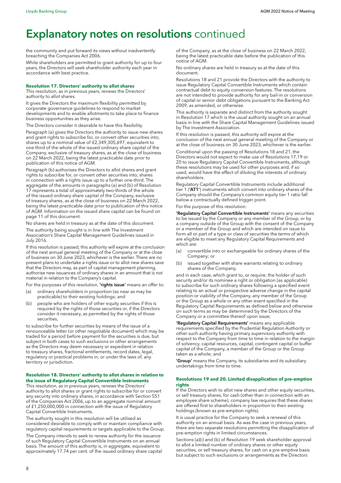# **Explanatory notes on resolutions continued**

the community and put forward its views without inadvertently breaching the Companies Act 2006.

While shareholders are permitted to grant authority for up to four years, the Directors will seek shareholder authority each year in accordance with best practice.

#### **Resolution 17. Directors' authority to allot shares**

This resolution, as in previous years, renews the Directors' authority to allot shares.

It gives the Directors the maximum flexibility permitted by corporate governance guidelines to respond to market developments and to enable allotments to take place to finance business opportunities as they arise.

The Directors consider it desirable to have this flexibility.

Paragraph (a) gives the Directors the authority to issue new shares and grant rights to subscribe for, or convert other securities into, shares up to a nominal value of £2,349,305,697, equivalent to one third of the whole of the issued ordinary share capital of the Company, exclusive of treasury shares, as at the close of business on 22 March 2022, being the latest practicable date prior to publication of this notice of AGM.

Paragraph (b) authorises the Directors to allot shares and grant rights to subscribe for, or convert other securities into, shares in connection with a rights issue up to a further one-third. The aggregate of the amounts in paragraphs (a) and (b) of Resolution 17 represents a total of approximately two-thirds of the whole of the issued ordinary share capital of the Company, exclusive of treasury shares, as at the close of business on 22 March 2022, being the latest practicable date prior to publication of this notice of AGM. Information on the issued share capital can be found on page 11 of this document.

No shares are held in treasury as at the date of this document. The authority being sought is in line with The Investment

Association's Share Capital Management Guidelines issued in July 2016.

If this resolution is passed, this authority will expire at the conclusion of the next annual general meeting of the Company or at the close of business on 30 June 2023, whichever is the earlier. There are no present plans to undertake a rights issue or to allot new shares save that the Directors may, as part of capital management planning, authorise new issuances of ordinary shares in an amount that is not material in relation to the Company's capital.

For the purposes of this resolution, 'rights issue' means an offer to:

- (a) ordinary shareholders in proportion (as near as may be practicable) to their existing holdings; and
- (b) people who are holders of other equity securities if this is required by the rights of those securities or, if the Directors consider it necessary, as permitted by the rights of those securities,

to subscribe for further securities by means of the issue of a renounceable letter (or other negotiable document) which may be traded for a period before payment for the securities is due, but subject in both cases to such exclusions or other arrangements as the Directors may deem necessary or expedient in relation to treasury shares, fractional entitlements, record dates, legal, regulatory or practical problems in, or under the laws of, any territory or jurisdiction.

#### **Resolution 18. Directors' authority to allot shares in relation to the issue of Regulatory Capital Convertible Instruments**

This resolution, as in previous years, renews the Directors' authority to allot shares or grant rights to subscribe for or convert any security into ordinary shares, in accordance with Section 551 of the Companies Act 2006, up to an aggregate nominal amount of £1,250,000,000 in connection with the issue of Regulatory Capital Convertible Instruments.

The authority sought in this resolution will be utilised as considered desirable to comply with or maintain compliance with regulatory capital requirements or targets applicable to the Group.

The Company intends to seek to renew authority for the issuance of such Regulatory Capital Convertible Instruments on an annual basis. The amount of this authority is, in aggregate, equivalent to approximately 17.74 per cent. of the issued ordinary share capital of the Company, as at the close of business on 22 March 2022, being the latest practicable date before the publication of this notice of AGM.

No ordinary shares are held in treasury as at the date of this document.

Resolutions 18 and 21 provide the Directors with the authority to issue Regulatory Capital Convertible Instruments which contain contractual debt to equity conversion features. The resolutions are not intended to provide authority for any bail-in or conversion of capital or senior debt obligations pursuant to the Banking Act 2009, as amended, or otherwise.

This authority is separate and distinct from the authority sought in Resolution 17 which is the usual authority sought on an annual basis in line with the Share Capital Management Guidelines issued by The Investment Association.

If this resolution is passed, this authority will expire at the conclusion of the next annual general meeting of the Company or at the close of business on 30 June 2023, whichever is the earlier.

Conditional upon the passing of Resolutions 18 and 21, the Directors would not expect to make use of Resolutions 17,19 or 20 to issue Regulatory Capital Convertible Instruments, although these resolutions may be used for other purposes and, if so used, would have the effect of diluting the interests of ordinary shareholders.

Regulatory Capital Convertible Instruments include additional tier 1 ('AT1') instruments which convert into ordinary shares of the Company should the Company's common equity tier 1 ratio fall below a contractually defined trigger point.

For the purpose of this resolution:

'Regulatory Capital Convertible Instruments' means any securities to be issued by the Company or any member of the Group, or by a company outside of the Group with the consent of the Company or a member of the Group and which are intended on issue to form all or part of a type or class of securities the terms of which are eligible to meet any Regulatory Capital Requirements and which are:

- (a) convertible into or exchangeable for ordinary shares of the Company; or
- (b) issued together with share warrants relating to ordinary shares of the Company,

and in each case, which grant to, or require, the holder of such security and/or its nominee a right or obligation (as applicable) to subscribe for such ordinary shares following a specified event relating to an actual or prospective adverse change in the capital position or viability of the Company, any member of the Group or the Group as a whole or any other event specified in the Regulatory Capital Requirements as defined below and otherwise on such terms as may be determined by the Directors of the Company or a committee thereof upon issue;

'Regulatory Capital Requirements' means any applicable requirements specified by the Prudential Regulation Authority or other such authority having primary supervisory authority with respect to the Company from time to time in relation to the margin of solvency, capital resources, capital, contingent capital or buffer capital of the Company, a member of the Group or the Group taken as a whole; and

'Group' means the Company, its subsidiaries and its subsidiary undertakings from time to time.

#### **Resolutions 19 and 20. Limited disapplication of pre-emption rights**

If the Directors wish to allot new shares and other equity securities, or sell treasury shares, for cash (other than in connection with an employee share scheme), company law requires that these shares are offered first to shareholders in proportion to their existing holdings (known as pre-emption rights).

It is usual practice for the Company to seek a renewal of this authority on an annual basis. As was the case in previous years, there are two separate resolutions permitting the disapplication of pre-emption rights in limited circumstances.

Sections (a)(i) and (b) of Resolution 19 seek shareholder approval to allot a limited number of ordinary shares or other equity securities, or sell treasury shares, for cash on a pre-emptive basis but subject to such exclusions or arrangements as the Directors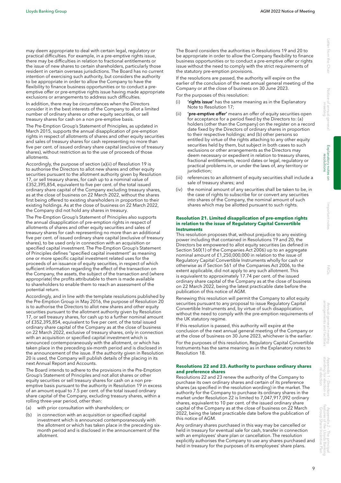Notice of annual Notice of annual general meeting

may deem appropriate to deal with certain legal, regulatory or practical difficulties. For example, in a pre-emptive rights issue, there may be difficulties in relation to fractional entitlements or the issue of new shares to certain shareholders, particularly those resident in certain overseas jurisdictions. The Board has no current intention of exercising such authority, but considers the authority to be appropriate in order to allow the Company to have the flexibility to finance business opportunities or to conduct a preemptive offer or pre-emptive rights issue having made appropriate exclusions or arrangements to address such difficulties.

In addition, there may be circumstances when the Directors consider it in the best interests of the Company to allot a limited number of ordinary shares or other equity securities, or sell treasury shares for cash on a non pre-emptive basis.

The Pre-Emption Group's Statement of Principles, as updated in March 2015, supports the annual disapplication of pre-emption rights in respect of allotments of shares and other equity securities and sales of treasury shares for cash representing no more than five per cent. of issued ordinary share capital (exclusive of treasury shares), without restriction as to the use of proceeds of those allotments.

Accordingly, the purpose of section (a)(ii) of Resolution 19 is to authorise the Directors to allot new shares and other equity securities pursuant to the allotment authority given by Resolution 17, or sell treasury shares, for cash up to a nominal value of £352,395,854, equivalent to five per cent. of the total issued ordinary share capital of the Company excluding treasury shares, as at the close of business on 22 March 2022, without the shares first being offered to existing shareholders in proportion to their existing holdings. As at the close of business on 22 March 2022, the Company did not hold any shares in treasury.

The Pre-Emption Group's Statement of Principles also supports the annual disapplication of pre-emption rights in respect of allotments of shares and other equity securities and sales of treasury shares for cash representing no more than an additional five per cent. of issued ordinary share capital (exclusive of treasury shares), to be used only in connection with an acquisition or specified capital investment. The Pre-Emption Group's Statement of Principles defines "specified capital investment" as meaning one or more specific capital investment related uses for the proceeds of an issuance of equity securities, in respect of which sufficient information regarding the effect of the transaction on the Company, the assets, the subject of the transaction and (where appropriate) the profits attributable to them is made available to shareholders to enable them to reach an assessment of the potential return.

Accordingly, and in line with the template resolutions published by the Pre-Emption Group in May 2016, the purpose of Resolution 20 is to authorise the Directors to allot new shares and other equity securities pursuant to the allotment authority given by Resolution 17, or sell treasury shares, for cash up to a further nominal amount of £352,395,854, equivalent to five per cent. of the total issued ordinary share capital of the Company as at the close of business on 22 March 2022, exclusive of treasury shares, only in connection with an acquisition or specified capital investment which is announced contemporaneously with the allotment, or which has taken place in the preceding six-month period and is disclosed in the announcement of the issue. If the authority given in Resolution 20 is used, the Company will publish details of the placing in its next Annual Report and Accounts.

The Board intends to adhere to the provisions in the Pre-Emption Group's Statement of Principles and not allot shares or other equity securities or sell treasury shares for cash on a non preemptive basis pursuant to the authority in Resolution 19 in excess of an amount equal to 7.5 per cent. of the total issued ordinary share capital of the Company, excluding treasury shares, within a rolling three-year period, other than:

- (a) with prior consultation with shareholders; or
- (b) in connection with an acquisition or specified capital investment which is announced contemporaneously with the allotment or which has taken place in the preceding sixmonth period and is disclosed in the announcement of the allotment.

The Board considers the authorities in Resolutions 19 and 20 to be appropriate in order to allow the Company flexibility to finance business opportunities or to conduct a pre-emptive offer or rights issue without the need to comply with the strict requirements of the statutory pre-emption provisions.

If the resolutions are passed, the authority will expire on the earlier of the conclusion of the next annual general meeting of the Company or at the close of business on 30 June 2023.

For the purposes of this resolution:

- (i) 'rights issue' has the same meaning as in the Explanatory Note to Resolution 17;
- 'pre-emptive offer' means an offer of equity securities open for acceptance for a period fixed by the Directors to: (a) holders (other than the Company) on the register on a record date fixed by the Directors of ordinary shares in proportion to their respective holdings; and (b) other persons so entitled by virtue of the rights attaching to any other equity securities held by them, but subject in both cases to such exclusions or other arrangements as the Directors may deem necessary or expedient in relation to treasury shares, fractional entitlements, record dates or legal, regulatory or practical problems in, or under the laws of, any territory or jurisdiction:
- (iii) references to an allotment of equity securities shall include a sale of treasury shares; and
- (iv) the nominal amount of any securities shall be taken to be, in the case of rights to subscribe for or convert any securities into shares of the Company, the nominal amount of such shares which may be allotted pursuant to such rights.

#### **Resolution 21. Limited disapplication of pre-emption rights in relation to the issue of Regulatory Capital Convertible Instruments**

This resolution proposes that, without prejudice to any existing power including that contained in Resolutions 19 and 20, the Directors be empowered to allot equity securities (as defined in Section 560(1) of the Companies Act 2006) up to an aggregate nominal amount of £1,250,000,000 in relation to the issue of Regulatory Capital Convertible Instruments wholly for cash or otherwise as if Section 561 of the Companies Act 2006, to the extent applicable, did not apply to any such allotment. This is equivalent to approximately 17.74 per cent. of the issued ordinary share capital of the Company as at the close of business on 22 March 2022, being the latest practicable date before the publication of this notice of AGM.

Renewing this resolution will permit the Company to allot equity securities pursuant to any proposal to issue Regulatory Capital Convertible Instruments and, by virtue of such disapplication, without the need to comply with the pre-emption requirements of the UK statutory regime.

If this resolution is passed, this authority will expire at the conclusion of the next annual general meeting of the Company or at the close of business on 30 June 2023, whichever is the earlier. For the purposes of this resolution, Regulatory Capital Convertible Instruments has the same meaning as in the Explanatory notes to Resolution 18.

#### **Resolutions 22 and 23. Authority to purchase ordinary shares and preference shares**

Resolutions 22 and 23 renew the authority of the Company to purchase its own ordinary shares and certain of its preference shares (as specified in the resolution wording) in the market. The authority for the Company to purchase its ordinary shares in the market under Resolution 22 is limited to 7,047,917,092 ordinary shares, equivalent to 10 per cent. of the issued ordinary share capital of the Company as at the close of business on 22 March 2022, being the latest practicable date before the publication of this notice of AGM.

Any ordinary shares purchased in this way may be cancelled or held in treasury for eventual sale for cash, transfer in connection with an employees' share plan or cancellation. The resolution explicitly authorises the Company to use any shares purchased and held in treasury for the purposes of its employees' share plans.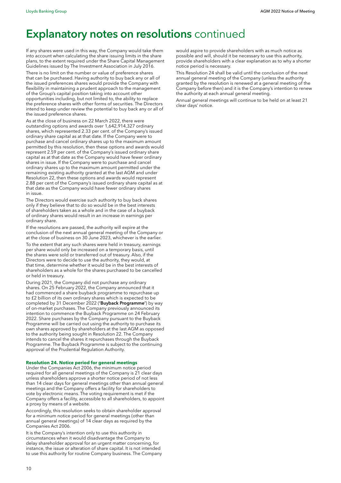# **Explanatory notes on resolutions continued**

If any shares were used in this way, the Company would take them into account when calculating the share issuing limits in the share plans, to the extent required under the Share Capital Management Guidelines issued by The Investment Association in July 2016.

There is no limit on the number or value of preference shares that can be purchased. Having authority to buy back any or all of the issued preferences shares would provide the Company with flexibility in maintaining a prudent approach to the management of the Group's capital position taking into account other opportunities including, but not limited to, the ability to replace the preference shares with other forms of securities. The Directors intend to keep under review the potential to buy back any or all of the issued preference shares.

As at the close of business on 22 March 2022, there were outstanding options and awards over 1,642,914,327 ordinary shares, which represented 2.33 per cent. of the Company's issued ordinary share capital as at that date. If the Company were to purchase and cancel ordinary shares up to the maximum amount permitted by this resolution, then these options and awards would represent 2.59 per cent. of the Company's issued ordinary share capital as at that date as the Company would have fewer ordinary shares in issue. If the Company were to purchase and cancel ordinary shares up to the maximum amount permitted under the remaining existing authority granted at the last AGM and under Resolution 22, then these options and awards would represent 2.88 per cent of the Company's issued ordinary share capital as at that date as the Company would have fewer ordinary shares in issue.

The Directors would exercise such authority to buy back shares only if they believe that to do so would be in the best interests of shareholders taken as a whole and in the case of a buyback of ordinary shares would result in an increase in earnings per ordinary share.

If the resolutions are passed, the authority will expire at the conclusion of the next annual general meeting of the Company or at the close of business on 30 June 2023, whichever is the earlier.

To the extent that any such shares were held in treasury, earnings per share would only be increased on a temporary basis, until the shares were sold or transferred out of treasury. Also, if the Directors were to decide to use the authority, they would, at that time, determine whether it would be in the best interests of shareholders as a whole for the shares purchased to be cancelled or held in treasury.

During 2021, the Company did not purchase any ordinary shares. On 25 February 2022, the Company announced that it had commenced a share buyback programme to repurchase up to £2 billion of its own ordinary shares which is expected to be completed by 31 December 2022 ('Buyback Programme') by way of on-market purchases. The Company previously announced its intention to commence the Buyback Programme on 24 February 2022. Share purchases by the Company pursuant to the Buyback Programme will be carried out using the authority to purchase its own shares approved by shareholders at the last AGM as opposed to the authority being sought in Resolution 22. The Company intends to cancel the shares it repurchases through the Buyback Programme. The Buyback Programme is subject to the continuing approval of the Prudential Regulation Authority.

# **Resolution 24. Notice period for general meetings**

Under the Companies Act 2006, the minimum notice period required for all general meetings of the Company is 21 clear days unless shareholders approve a shorter notice period of not less than 14 clear days for general meetings other than annual general meetings and the Company offers a facility for shareholders to vote by electronic means. The voting requirement is met if the Company offers a facility, accessible to all shareholders, to appoint a proxy by means of a website.

Accordingly, this resolution seeks to obtain shareholder approval for a minimum notice period for general meetings (other than annual general meetings) of 14 clear days as required by the Companies Act 2006.

It is the Company's intention only to use this authority in circumstances when it would disadvantage the Company to delay shareholder approval for an urgent matter concerning, for instance, the issue or alteration of share capital. It is not intended to use this authority for routine Company business. The Company would aspire to provide shareholders with as much notice as possible and will, should it be necessary to use this authority, provide shareholders with a clear explanation as to why a shorter notice period is necessary.

This Resolution 24 shall be valid until the conclusion of the next annual general meeting of the Company (unless the authority granted by the resolution is renewed at a general meeting of the Company before then) and it is the Company's intention to renew the authority at each annual general meeting.

Annual general meetings will continue to be held on at least 21 clear days' notice.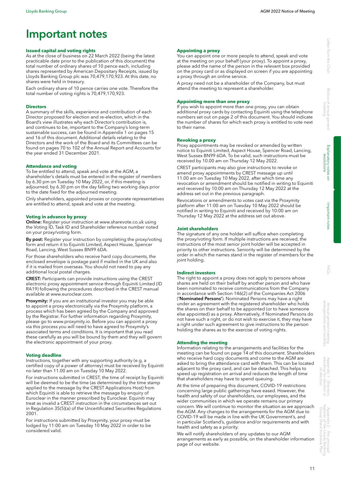# Important notes

#### **Issued capital and voting rights**

As at the close of business on 22 March 2022 (being the latest practicable date prior to the publication of this document) the total number of ordinary shares of 10 pence each, including shares represented by American Depositary Receipts, issued by Lloyds Banking Group plc was 70,479,170,923. At this date, no shares were held in treasury.

Each ordinary share of 10 pence carries one vote. Therefore the total number of voting rights is 70,479,170,923.

#### **Directors**

A summary of the skills, experience and contribution of each Director proposed for election and re-election, which in the Board's view illustrates why each Director's contribution is, and continues to be, important to the Company's long-term sustainable success, can be found in Appendix 1 on pages 15 and 16 of this document. Additional details relating to the Directors and the work of the Board and its Committees can be found on pages 70 to 102 of the Annual Report and Accounts for the year ended 31 December 2021.

#### **Attendance and voting**

To be entitled to attend, speak and vote at the AGM, a shareholder's details must be entered in the register of members by 6.30 pm on Tuesday 10 May 2022, or, if this meeting is adjourned, by 6.30 pm on the day falling two working days prior to the date fixed for the adjourned meeting.

Only shareholders, appointed proxies or corporate representatives are entitled to attend, speak and vote at the meeting.

#### **Voting in advance by proxy**

Online: Register your instruction at [www.sharevote.co.uk](http://www.sharevote.co.uk) using the Voting ID, Task ID and Shareholder reference number noted on your proxy/voting form.

By post: Register your instruction by completing the proxy/voting form and return it to Equiniti Limited, Aspect House, Spencer Road, Lancing, West Sussex BN99 6DA.

For those shareholders who receive hard copy documents, the enclosed envelope is postage paid if mailed in the UK and also if it is mailed from overseas. You should not need to pay any additional local postal charges.

CREST: Participants can provide instructions using the CREST electronic proxy appointment service through Equiniti Limited (ID RA19) following the procedures described in the CREST manual available at [www.euroclear.com](http://www.euroclear.com).

Proxymity: If you are an institutional investor you may be able to appoint a proxy electronically via the Proxymity platform, a process which has been agreed by the Company and approved by the Registrar. For further information regarding Proxymity, please go to [www.proxymity.io.](http://www.proxymity.io) Before you can appoint a proxy via this process you will need to have agreed to Proxymity's associated terms and conditions. It is important that you read these carefully as you will be bound by them and they will govern the electronic appointment of your proxy.

#### **Voting deadline**

Instructions, together with any supporting authority (e.g. a certified copy of a power of attorney) must be received by Equiniti no later than 11.00 am on Tuesday 10 May 2022.

For instructions submitted in CREST, the time of receipt by Equiniti will be deemed to be the time (as determined by the time stamp applied to the message by the CREST Applications Host) from which Equiniti is able to retrieve the message by enquiry of Euroclear in the manner prescribed by Euroclear. Equiniti may treat as invalid a CREST instruction in the circumstances set out in Regulation 35(5)(a) of the Uncertificated Securities Regulations 2001.

For instructions submitted by Proxymity, your proxy must be lodged by 11:00 am on Tuesday 10 May 2022 in order to be considered valid.

#### **Appointing a proxy**

You can appoint one or more people to attend, speak and vote at the meeting on your behalf (your proxy). To appoint a proxy, please add the name of the person in the relevant box provided on the proxy card or as displayed on screen if you are appointing a proxy through an online service.

A proxy need not be a shareholder of the Company, but must attend the meeting to represent a shareholder.

#### **Appointing more than one proxy**

If you wish to appoint more than one proxy, you can obtain additional proxy cards by contacting Equiniti using the telephone numbers set out on page 2 of this document. You should indicate the number of shares for which each proxy is entitled to vote next to their name.

#### **Revoking a proxy**

Proxy appointments may be revoked or amended by written notice to Equiniti Limited, Aspect House, Spencer Road, Lancing, West Sussex BN99 6DA. To be valid, such instructions must be received by 10.00 am on Thursday 12 May 2022.

CREST participants may also give instructions to revoke or amend proxy appointments by CREST message up until 11.00 am on Tuesday 10 May 2022, after which time any revocation or amendment should be notified in writing to Equiniti and received by 10:00 am on Thursday 12 May 2022 at the address set out in the previous paragraph.

Revocations or amendments to votes cast via the Proxymity platform after 11:00 am on Tuesday 10 May 2022 should be notified in writing to Equiniti and received by 10:00 am on Thursday 12 May 2022 at the address set out above.

#### **Joint shareholders**

The signature of any one holder will suffice when completing the proxy/voting form. If multiple instructions are received, the instructions of the most senior joint holder will be accepted in priority to other instructions. Seniority will be determined by the order in which the names stand in the register of members for the joint holding.

#### **Indirect investors**

The right to appoint a proxy does not apply to persons whose shares are held on their behalf by another person and who have been nominated to receive communications from the Company in accordance with Section 146(2) of the Companies Act 2006 ('Nominated Persons'). Nominated Persons may have a right under an agreement with the registered shareholder who holds the shares on their behalf to be appointed (or to have someone else appointed) as a proxy. Alternatively, if Nominated Persons do not have such a right, or do not wish to exercise it, they may have a right under such agreement to give instructions to the person holding the shares as to the exercise of voting rights.

#### **Attending the meeting**

Information relating to the arrangements and facilities for the meeting can be found on page 14 of this document. Shareholders who receive hard copy documents and come to the AGM are asked to bring the attendance card with them. This can be located adjacent to the proxy card, and can be detached. This helps to speed up registration on arrival and reduces the length of time that shareholders may have to spend queuing.

At the time of preparing this document, COVID-19 restrictions concerning large public gatherings have eased. However, the health and safety of our shareholders, our employees, and the wider communities in which we operate remains our primary concern. We will continue to monitor the situation as we approach the AGM. Any changes to the arrangements for the AGM due to COVID-19 will be made in line with the UK Government's, and in particular Scotland's, guidance and/or requirements and with health and safety as a priority.

We will notify shareholders of any updates to our AGM arrangements as early as possible, on the shareholder information page of our website.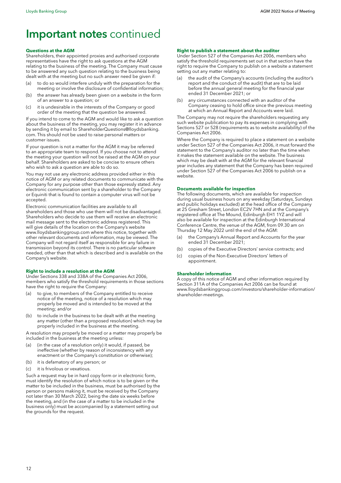# Important notes continued

#### **Questions at the AGM**

Shareholders, their appointed proxies and authorised corporate representatives have the right to ask questions at the AGM relating to the business of the meeting. The Company must cause to be answered any such question relating to the business being dealt with at the meeting but no such answer need be given if:

- to do so would interfere unduly with the preparation for the meeting or involve the disclosure of confidential information;
- (b) the answer has already been given on a website in the form of an answer to a question; or
- (c) it is undesirable in the interests of the Company or good order of the meeting that the question be answered.

If you intend to come to the AGM and would like to ask a question about the business of the meeting, you may register it in advance by sending it by email to [ShareholderQuestions@lloydsbanking.](mailto:ShareholderQuestions%40lloydsbanking.com?subject=) [com](mailto:ShareholderQuestions%40lloydsbanking.com?subject=). This should not be used to raise personal matters or customer issues.

If your question is not a matter for the AGM it may be referred to an appropriate team to respond. If you choose not to attend the meeting your question will not be raised at the AGM on your behalf. Shareholders are asked to be concise to ensure others who wish to ask a question are able to do so.

You may not use any electronic address provided either in this notice of AGM or any related documents to communicate with the Company for any purpose other than those expressly stated. Any electronic communication sent by a shareholder to the Company or Equiniti that is found to contain a computer virus will not be accepted.

Electronic communication facilities are available to all shareholders and those who use them will not be disadvantaged. Shareholders who decide to use them will receive an electronic mail message sent to the electronic address registered. This will give details of the location on the Company's website [www.lloydsbankinggroup.com](http://www.lloydsbankinggroup.com) where this notice, together with other relevant documents and information, may be viewed. The Company will not regard itself as responsible for any failure in transmission beyond its control. There is no particular software needed, other than that which is described and is available on the Company's website.

#### **Right to include a resolution at the AGM**

Under Sections 338 and 338A of the Companies Act 2006, members who satisfy the threshold requirements in those sections have the right to require the Company:

- (a) to give, to members of the Company entitled to receive notice of the meeting, notice of a resolution which may properly be moved and is intended to be moved at the meeting; and/or
- (b) to include in the business to be dealt with at the meeting any matter (other than a proposed resolution) which may be properly included in the business at the meeting.

A resolution may properly be moved or a matter may properly be included in the business at the meeting unless:

- (a) (in the case of a resolution only) it would, if passed, be ineffective (whether by reason of inconsistency with any enactment or the Company's constitution or otherwise);
- (b) it is defamatory of any person; or
- (c) it is frivolous or vexatious.

Such a request may be in hard copy form or in electronic form, must identify the resolution of which notice is to be given or the matter to be included in the business, must be authorised by the person or persons making it, must be received by the Company not later than 30 March 2022, being the date six weeks before the meeting, and (in the case of a matter to be included in the business only) must be accompanied by a statement setting out the grounds for the request.

#### **Right to publish a statement about the auditor**

Under Section 527 of the Companies Act 2006, members who satisfy the threshold requirements set out in that section have the right to require the Company to publish on a website a statement setting out any matter relating to:

- (a) the audit of the Company's accounts (including the auditor's report and the conduct of the audit) that are to be laid before the annual general meeting for the financial year ended 31 December 2021; or
- (b) any circumstances connected with an auditor of the Company ceasing to hold office since the previous meeting at which an Annual Report and Accounts were laid.

The Company may not require the shareholders requesting any such website publication to pay its expenses in complying with Sections 527 or 528 (requirements as to website availability) of the Companies Act 2006.

Where the Company is required to place a statement on a website under Section 527 of the Companies Act 2006, it must forward the statement to the Company's auditor no later than the time when it makes the statement available on the website. The business which may be dealt with at the AGM for the relevant financial year includes any statement that the Company has been required under Section 527 of the Companies Act 2006 to publish on a website.

### **Documents available for inspection**

The following documents, which are available for inspection during usual business hours on any weekday (Saturdays, Sundays and public holidays excluded) at the head office of the Company at 25 Gresham Street, London EC2V 7HN and at the Company's registered office at The Mound, Edinburgh EH1 1YZ and will also be available for inspection at the Edinburgh International Conference Centre, the venue of the AGM, from 09.30 am on Thursday 12 May 2022 until the end of the AGM:

- (a) the Company's Annual Report and Accounts for the year ended 31 December 2021;
- (b) copies of the Executive Directors' service contracts; and
- (c) copies of the Non-Executive Directors' letters of appointment.

#### **Shareholder information**

A copy of this notice of AGM and other information required by Section 311A of the Companies Act 2006 can be found at [www.lloydsbankinggroup.com/investors/shareholder-information/](http://www.lloydsbankinggroup.com/investors/shareholder-information/shareholder-meetings) [shareholder-meetings](http://www.lloydsbankinggroup.com/investors/shareholder-information/shareholder-meetings).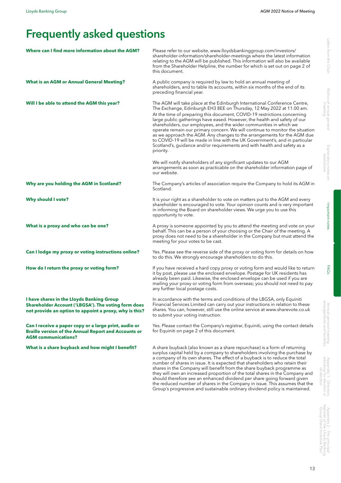# Frequently asked questions

| Where can I find more information about the AGM?                                                                                                                  | Please refer to our website, www.lloydsbankinggroup.com/investors/<br>shareholder-information/shareholder-meetings where the latest information<br>relating to the AGM will be published. This information will also be available<br>from the Shareholder Helpline, the number for which is set out on page 2 of<br>this document.                                                                                                                                                                                                                                                                                                                                                                                     |
|-------------------------------------------------------------------------------------------------------------------------------------------------------------------|------------------------------------------------------------------------------------------------------------------------------------------------------------------------------------------------------------------------------------------------------------------------------------------------------------------------------------------------------------------------------------------------------------------------------------------------------------------------------------------------------------------------------------------------------------------------------------------------------------------------------------------------------------------------------------------------------------------------|
| <b>What is an AGM or Annual General Meeting?</b>                                                                                                                  | A public company is required by law to hold an annual meeting of<br>shareholders, and to table its accounts, within six months of the end of its<br>preceding financial year.                                                                                                                                                                                                                                                                                                                                                                                                                                                                                                                                          |
| Will I be able to attend the AGM this year?                                                                                                                       | The AGM will take place at the Edinburgh International Conference Centre,<br>The Exchange, Edinburgh EH3 8EE on Thursday, 12 May 2022 at 11.00 am.<br>At the time of preparing this document, COVID-19 restrictions concerning<br>large public gatherings have eased. However, the health and safety of our<br>shareholders, our employees, and the wider communities in which we<br>operate remain our primary concern. We will continue to monitor the situation<br>as we approach the AGM. Any changes to the arrangements for the AGM due<br>to COVID-19 will be made in line with the UK Government's, and in particular<br>Scotland's, guidance and/or requirements and with health and safety as a<br>priority. |
|                                                                                                                                                                   | We will notify shareholders of any significant updates to our AGM<br>arrangements as soon as practicable on the shareholder information page of<br>our website.                                                                                                                                                                                                                                                                                                                                                                                                                                                                                                                                                        |
| Why are you holding the AGM in Scotland?                                                                                                                          | The Company's articles of association require the Company to hold its AGM in<br>Scotland.                                                                                                                                                                                                                                                                                                                                                                                                                                                                                                                                                                                                                              |
| <b>Why should I vote?</b>                                                                                                                                         | It is your right as a shareholder to vote on matters put to the AGM and every<br>shareholder is encouraged to vote. Your opinion counts and is very important<br>in informing the Board on shareholder views. We urge you to use this<br>opportunity to vote.                                                                                                                                                                                                                                                                                                                                                                                                                                                          |
| What is a proxy and who can be one?                                                                                                                               | A proxy is someone appointed by you to attend the meeting and vote on your<br>behalf. This can be a person of your choosing or the Chair of the meeting. A<br>proxy does not need to be a shareholder in the Company but must attend the<br>meeting for your votes to be cast.                                                                                                                                                                                                                                                                                                                                                                                                                                         |
| Can I lodge my proxy or voting instructions online?                                                                                                               | Yes. Please see the reverse side of the proxy or voting form for details on how<br>to do this. We strongly encourage shareholders to do this.                                                                                                                                                                                                                                                                                                                                                                                                                                                                                                                                                                          |
| How do I return the proxy or voting form?                                                                                                                         | If you have received a hard copy proxy or voting form and would like to return<br>it by post, please use the enclosed envelope. Postage for UK residents has<br>already been paid. Likewise, the enclosed envelope can be used if you are<br>mailing your proxy or voting form from overseas; you should not need to pay<br>any further local postage costs.                                                                                                                                                                                                                                                                                                                                                           |
| I have shares in the Lloyds Banking Group<br><b>Shareholder Account ('LBGSA'). The voting form does</b><br>not provide an option to appoint a proxy, why is this? | In accordance with the terms and conditions of the LBGSA, only Equiniti<br>Financial Services Limited can carry out your instructions in relation to these<br>shares. You can, however, still use the online service at www.sharevote.co.uk<br>to submit your voting instruction.                                                                                                                                                                                                                                                                                                                                                                                                                                      |
| Can I receive a paper copy or a large print, audio or<br><b>Braille version of the Annual Report and Accounts or</b><br><b>AGM</b> communications?                | Yes. Please contact the Company's registrar, Equiniti, using the contact details<br>for Equiniti on page 2 of this document.                                                                                                                                                                                                                                                                                                                                                                                                                                                                                                                                                                                           |
| What is a share buyback and how might I benefit?                                                                                                                  | A share buyback (also known as a share repurchase) is a form of returning<br>surplus capital held by a company to shareholders involving the purchase by<br>a company of its own shares. The effect of a buyback is to reduce the total<br>number of shares in issue. It is expected that shareholders who retain their<br>shares in the Company will benefit from the share buyback programme as<br>they will own an increased proportion of the total shares in the Company and<br>should therefore see an enhanced dividend per share going forward given<br>the reduced number of shares in the Company in issue. This assumes that the                                                                            |

Notice of annual general

Group's progressive and sustainable ordinary dividend policy is maintained.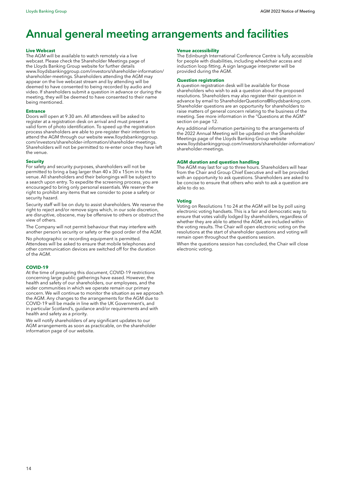# Annual general meeting arrangements and facilities

#### **Live Webcast**

The AGM will be available to watch remotely via a live webcast. Please check the Shareholder Meetings page of the Lloyds Banking Group website for further details [www.lloydsbankinggroup.com/investors/shareholder-information/](http://www.lloydsbankinggroup.com/investors/shareholder-information/shareholder-meetings) [shareholder-meetings.](http://www.lloydsbankinggroup.com/investors/shareholder-information/shareholder-meetings) Shareholders attending the AGM may appear on the live webcast stream and by attending will be deemed to have consented to being recorded by audio and video. If shareholders submit a question in advance or during the meeting, they will be deemed to have consented to their name being mentioned.

#### **Entrance**

Doors will open at 9.30 am. All attendees will be asked to register at a registration desk on arrival and must present a valid form of photo identification. To speed up the registration process shareholders are able to pre-register their intention to attend the AGM through our website [www.lloydsbankinggroup.](http://www.lloydsbankinggroup.com/investors/shareholder-information/shareholder-meetings) [com/investors/shareholder-information/shareholder-meetings](http://www.lloydsbankinggroup.com/investors/shareholder-information/shareholder-meetings). Shareholders will not be permitted to re-enter once they have left the venue.

#### **Security**

For safety and security purposes, shareholders will not be permitted to bring a bag larger than 40 x 30 x 15cm in to the venue. All shareholders and their belongings will be subject to a search upon entry. To expedite the screening process, you are encouraged to bring only personal essentials. We reserve the right to prohibit any items that we consider to pose a safety or security hazard.

Security staff will be on duty to assist shareholders. We reserve the right to reject and/or remove signs which, in our sole discretion, are disruptive, obscene, may be offensive to others or obstruct the view of others.

The Company will not permit behaviour that may interfere with another person's security or safety or the good order of the AGM.

No photographic or recording equipment is permitted. Attendees will be asked to ensure that mobile telephones and other communication devices are switched off for the duration of the AGM.

#### **COVID-19**

At the time of preparing this document, COVID-19 restrictions concerning large public gatherings have eased. However, the health and safety of our shareholders, our employees, and the wider communities in which we operate remain our primary concern. We will continue to monitor the situation as we approach the AGM. Any changes to the arrangements for the AGM due to COVID-19 will be made in line with the UK Government's, and in particular Scotland's, guidance and/or requirements and with health and safety as a priority.

We will notify shareholders of any significant updates to our AGM arrangements as soon as practicable, on the shareholder information page of our website.

#### **Venue accessibility**

The Edinburgh International Conference Centre is fully accessible for people with disabilities, including wheelchair access and induction loop fitting. A sign language interpreter will be provided during the AGM.

#### **Question registration**

A question registration desk will be available for those shareholders who wish to ask a question about the proposed resolutions. Shareholders may also register their question in advance by email to [ShareholderQuestions@lloydsbanking.com.](mailto:ShareholderQuestions%40lloydsbanking.com?subject=) Shareholder questions are an opportunity for shareholders to raise matters of general concern relating to the business of the meeting. See more information in the "Questions at the AGM" section on page 12.

Any additional information pertaining to the arrangements of the 2022 Annual Meeting will be updated on the Shareholder Meetings page of the Lloyds Banking Group website [www.lloydsbankinggroup.com/investors/shareholder-information/](http://www.lloydsbankinggroup.com/investors/shareholder-information/shareholder-meetings) [shareholder-meetings](http://www.lloydsbankinggroup.com/investors/shareholder-information/shareholder-meetings).

#### **AGM duration and question handling**

The AGM may last for up to three hours. Shareholders will hear from the Chair and Group Chief Executive and will be provided with an opportunity to ask questions. Shareholders are asked to be concise to ensure that others who wish to ask a question are able to do so.

#### **Voting**

Voting on Resolutions 1 to 24 at the AGM will be by poll using electronic voting handsets. This is a fair and democratic way to ensure that votes validly lodged by shareholders, regardless of whether they are able to attend the AGM, are included within the voting results. The Chair will open electronic voting on the resolutions at the start of shareholder questions and voting will remain open throughout the questions session.

When the questions session has concluded, the Chair will close electronic voting.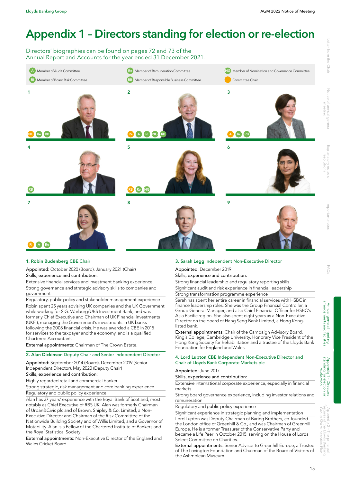# Appendix 1 – Directors standing for election or re-election

Directors' biographies can be found on pages 72 and 73 of the Annual Report and Accounts for the year ended 31 December 2021.



### 1. Robin Budenberg CBE Chair

#### Appointed: October 2020 (Board), January 2021 (Chair) Skills, experience and contribution:

Extensive financial services and investment banking experience Strong governance and strategic advisory skills to companies and government

Regulatory, public policy and stakeholder management experience Robin spent 25 years advising UK companies and the UK Government while working for S.G. Warburg/UBS Investment Bank, and was formerly Chief Executive and Chairman of UK Financial Investments (UKFI), managing the Government's investments in UK banks following the 2008 financial crisis. He was awarded a CBE in 2015 for services to the taxpayer and the economy, and is a qualified Chartered Accountant.

External appointments: Chairman of The Crown Estate.

### 2. Alan Dickinson Deputy Chair and Senior Independent Director

Appointed: September 2014 (Board), December 2019 (Senior Independent Director), May 2020 (Deputy Chair)

### Skills, experience and contribution:

Highly regarded retail and commercial banker Strong strategic, risk management and core banking experience

Regulatory and public policy experience Alan has 37 years' experience with the Royal Bank of Scotland, most notably as Chief Executive of RBS UK. Alan was formerly Chairman of Urban&Civic plc and of Brown, Shipley & Co. Limited, a Non-Executive Director and Chairman of the Risk Committee of the Nationwide Building Society and of Willis Limited, and a Governor of Motability. Alan is a Fellow of the Chartered Institute of Bankers and the Royal Statistical Society.

#### External appointments: Non-Executive Director of the England and Wales Cricket Board.

### 3. Sarah Legg Independent Non-Executive Director

Appointed: December 2019

### Skills, experience and contribution: Strong financial leadership and regulatory reporting skills

Significant audit and risk experience in financial leadership

Strong transformation programme experience

Sarah has spent her entire career in financial services with HSBC in finance leadership roles. She was the Group Financial Controller, a Group General Manager, and also Chief Financial Officer for HSBC's Asia Pacific region. She also spent eight years as a Non-Executive Director on the board of Hang Seng Bank Limited, a Hong Konglisted bank.

External appointments: Chair of the Campaign Advisory Board, King's College, Cambridge University, Honorary Vice President of the Hong Kong Society for Rehabilitation and a trustee of the Lloyds Bank Foundation for England and Wales.

#### 4. Lord Lupton CBE Independent Non-Executive Director and Chair of Lloyds Bank Corporate Markets plc

#### Appointed: June 2017

# Skills, experience and contribution:

Extensive international corporate experience, especially in financial markets

Strong board governance experience, including investor relations and remuneration

Regulatory and public policy experience

Significant experience in strategic planning and implementation Lord Lupton was Deputy Chairman of Baring Brothers, co-founded the London office of Greenhill & Co., and was Chairman of Greenhill Europe. He is a former Treasurer of the Conservative Party and became a Life Peer in October 2015, serving on the House of Lords Select Committee on Charities.

External appointments: Senior Advisor to Greenhill Europe, a Trustee of The Lovington Foundation and Chairman of the Board of Visitors of the Ashmolean Museum.

Appendix 2 – The principal features of the Lloyds Banking Group Share Incentive Plan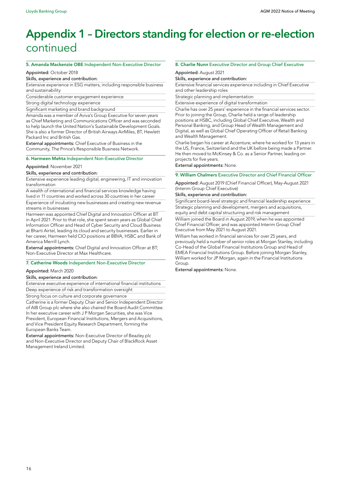# Appendix 1 – Directors standing for election or re-election continued

#### 5. Amanda Mackenzie OBE Independent Non-Executive Director

### Appointed: October 2018

Skills, experience and contribution:

Extensive experience in ESG matters, including responsible business and sustainability

Considerable customer engagement experience

Strong digital technology experience

Significant marketing and brand background

Amanda was a member of Aviva's Group Executive for seven years as Chief Marketing and Communications Officer and was seconded to help launch the United Nation's Sustainable Development Goals. She is also a former Director of British Airways AirMiles, BT, Hewlett Packard Inc and British Gas.

External appointments: Chief Executive of Business in the Community, The Prince's Responsible Business Network.

#### 6. Harmeen Mehta Independent Non-Executive Director

#### Appointed: November 2021

Skills, experience and contribution:

Extensive experience leading digital, engineering, IT and innovation transformation

A wealth of international and financial services knowledge having lived in 11 countries and worked across 30 countries in her career Experience of incubating new businesses and creating new revenue streams in businesses

Harmeen was appointed Chief Digital and Innovation Officer at BT in April 2021. Prior to that role, she spent seven years as Global Chief Information Officer and Head of Cyber Security and Cloud Business at Bharti Airtel, leading its cloud and security businesses. Earlier in her career, Harmeen held CIO positions at BBVA, HSBC and Bank of America Merrill Lynch.

External appointments: Chief Digital and Innovation Officer at BT; Non-Executive Director at Max Healthcare.

#### 7. Catherine Woods Independent Non-Executive Director

#### Appointed: March 2020

#### Skills, experience and contribution:

Extensive executive experience of international financial institutions Deep experience of risk and transformation oversight

Strong focus on culture and corporate governance

Catherine is a former Deputy Chair and Senior Independent Director of AIB Group plc where she also chaired the Board Audit Committee. In her executive career with J P Morgan Securities, she was Vice President, European Financial Institutions, Mergers and Acquisitions, and Vice President Equity Research Department, forming the European Banks Team.

External appointments: Non-Executive Director of Beazley plc and Non-Executive Director and Deputy Chair of BlackRock Asset Management Ireland Limited.

#### 8. Charlie Nunn Executive Director and Group Chief Executive

#### Appointed: August 2021

Skills, experience and contribution:

Extensive financial services experience including in Chief Executive and other leadership roles

Strategic planning and implementation

Extensive experience of digital transformation

Charlie has over 25 years' experience in the financial services sector. Prior to joining the Group, Charlie held a range of leadership positions at HSBC, including Global Chief Executive, Wealth and Personal Banking, and Group Head of Wealth Management and Digital, as well as Global Chief Operating Officer of Retail Banking and Wealth Management.

Charlie began his career at Accenture, where he worked for 13 years in the US, France, Switzerland and the UK before being made a Partner. He then moved to McKinsey & Co. as a Senior Partner, leading on projects for five years.

External appointments: None.

# 9. William Chalmers Executive Director and Chief Financial Officer

Appointed: August 2019 (Chief Financial Officer), May-August 2021 (Interim Group Chief Executive)

#### Skills, experience and contribution:

Significant board-level strategic and financial leadership experience Strategic planning and development, mergers and acquisitions, equity and debt capital structuring and risk management William joined the Board in August 2019, when he was appointed Chief Financial Officer, and was appointed Interim Group Chief

Executive from May 2021 to August 2021. William has worked in financial services for over 25 years, and previously held a number of senior roles at Morgan Stanley, including Co-Head of the Global Financial Institutions Group and Head of EMEA Financial Institutions Group. Before joining Morgan Stanley, William worked for JP Morgan, again in the Financial Institutions Group.

External appointments: None.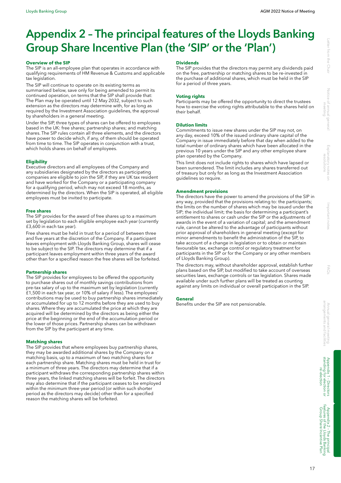# Appendix 2 – The principal features of the Lloyds Banking Group Share Incentive Plan (the 'SIP' or the 'Plan')

#### **Overview of the SIP**

The SIP is an all-employee plan that operates in accordance with qualifying requirements of HM Revenue & Customs and applicable tax legislation.

The SIP will continue to operate on its existing terms as summarised below, save only for being amended to permit its continued operation, on terms that the SIP shall provide that: The Plan may be operated until 12 May 2032, subject to such extension as the directors may determine with, for as long as required by the Investment Association guidelines, the approval by shareholders in a general meeting.

Under the SIP, three types of shares can be offered to employees based in the UK: free shares; partnership shares; and matching shares. The SIP rules contain all three elements, and the directors have power to decide which, if any, of them should be operated from time to time. The SIP operates in conjunction with a trust, which holds shares on behalf of employees.

### **Eligibility**

Executive directors and all employees of the Company and any subsidiaries designated by the directors as participating companies are eligible to join the SIP, if they are UK tax resident and have worked for the Company or a participating company for a qualifying period, which may not exceed 18 months, as determined by the directors. When the SIP is operated, all eligible employees must be invited to participate.

#### **Free shares**

The SIP provides for the award of free shares up to a maximum set by legislation to each eligible employee each year (currently £3,600 in each tax year).

Free shares must be held in trust for a period of between three and five years at the discretion of the Company. If a participant leaves employment with Lloyds Banking Group, shares will cease to be subject to the SIP. The directors may determine that if a participant leaves employment within three years of the award other than for a specified reason the free shares will be forfeited.

#### **Partnership shares**

The SIP provides for employees to be offered the opportunity to purchase shares out of monthly savings contributions from pre-tax salary of up to the maximum set by legislation (currently £1,500 in each tax year, or 10% of salary if less). The employees' contributions may be used to buy partnership shares immediately or accumulated for up to 12 months before they are used to buy shares. Where they are accumulated the price at which they are acquired will be determined by the directors as being either the price at the beginning or the end of the accumulation period or the lower of those prices. Partnership shares can be withdrawn from the SIP by the participant at any time.

#### **Matching shares**

The SIP provides that where employees buy partnership shares, they may be awarded additional shares by the Company on a matching basis, up to a maximum of two matching shares for each partnership share. Matching shares must be held in trust for a minimum of three years. The directors may determine that if a participant withdraws the corresponding partnership shares within three years, the linked matching shares will be forfeit. The directors may also determine that if the participant ceases to be employed within the minimum three-year period (or within such shorter period as the directors may decide) other than for a specified reason the matching shares will be forfeited.

#### **Dividends**

The SIP provides that the directors may permit any dividends paid on the free, partnership or matching shares to be re-invested in the purchase of additional shares, which must be held in the SIP for a period of three years.

#### **Voting rights**

Participants may be offered the opportunity to direct the trustees how to exercise the voting rights attributable to the shares held on their behalf.

#### **Dilution limits**

Commitments to issue new shares under the SIP may not, on any day, exceed 10% of the issued ordinary share capital of the Company in issue immediately before that day when added to the total number of ordinary shares which have been allocated in the previous 10 years under the SIP and any other employee share plan operated by the Company.

This limit does not include rights to shares which have lapsed or been surrendered. The limit includes any shares transferred out of treasury but only for as long as the Investment Association guidelines so require.

#### **Amendment provisions**

The directors have the power to amend the provisions of the SIP in any way, provided that the provisions relating to: the participants; the limits on the number of shares which may be issued under the SIP; the individual limit; the basis for determining a participant's entitlement to shares or cash under the SIP or the adjustments of awards in the event of a variation of capital; and the amendment rule, cannot be altered to the advantage of participants without prior approval of shareholders in general meeting (except for minor amendments to benefit the administration of the SIP, to take account of a change in legislation or to obtain or maintain favourable tax, exchange control or regulatory treatment for participants in the SIP or for the Company or any other members of Lloyds Banking Group).

The directors may, without shareholder approval, establish further plans based on the SIP, but modified to take account of overseas securities laws, exchange controls or tax legislation. Shares made available under such further plans will be treated as counting against any limits on individual or overall participation in the SIP.

#### **General**

Benefits under the SIP are not pensionable.